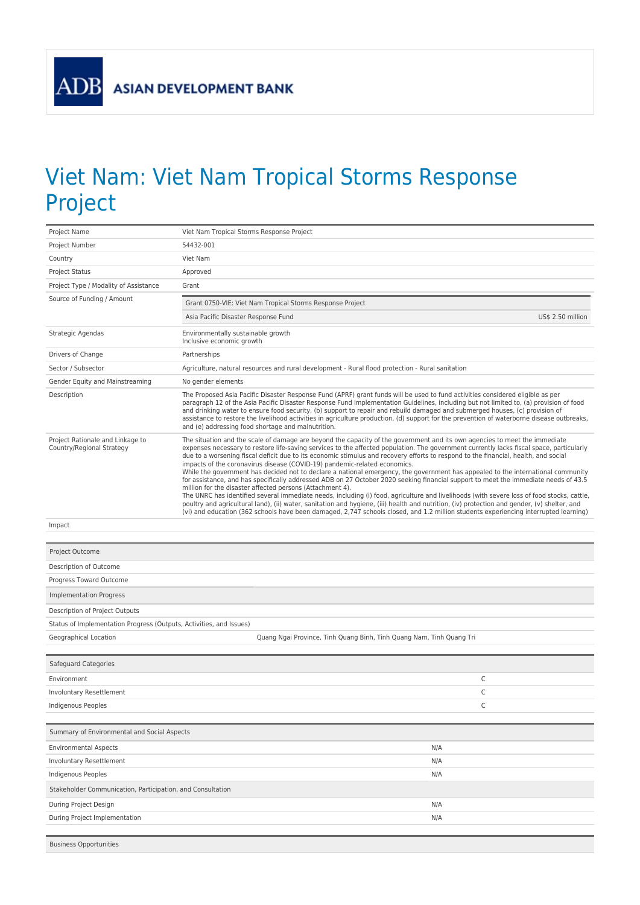ADB

## Viet Nam: Viet Nam Tropical Storms Response Project

| Project Name                                                        | Viet Nam Tropical Storms Response Project                                                                                                                                                                                                                                                                                                                                                                                                                                                                                                                                                                                                                                                                                                                                                                                                                                                                                                                                                                                                                                                                                                                                                                                                                                |  |  |
|---------------------------------------------------------------------|--------------------------------------------------------------------------------------------------------------------------------------------------------------------------------------------------------------------------------------------------------------------------------------------------------------------------------------------------------------------------------------------------------------------------------------------------------------------------------------------------------------------------------------------------------------------------------------------------------------------------------------------------------------------------------------------------------------------------------------------------------------------------------------------------------------------------------------------------------------------------------------------------------------------------------------------------------------------------------------------------------------------------------------------------------------------------------------------------------------------------------------------------------------------------------------------------------------------------------------------------------------------------|--|--|
| Project Number                                                      | 54432-001                                                                                                                                                                                                                                                                                                                                                                                                                                                                                                                                                                                                                                                                                                                                                                                                                                                                                                                                                                                                                                                                                                                                                                                                                                                                |  |  |
| Country                                                             | Viet Nam                                                                                                                                                                                                                                                                                                                                                                                                                                                                                                                                                                                                                                                                                                                                                                                                                                                                                                                                                                                                                                                                                                                                                                                                                                                                 |  |  |
| <b>Project Status</b>                                               | Approved                                                                                                                                                                                                                                                                                                                                                                                                                                                                                                                                                                                                                                                                                                                                                                                                                                                                                                                                                                                                                                                                                                                                                                                                                                                                 |  |  |
| Project Type / Modality of Assistance                               | Grant                                                                                                                                                                                                                                                                                                                                                                                                                                                                                                                                                                                                                                                                                                                                                                                                                                                                                                                                                                                                                                                                                                                                                                                                                                                                    |  |  |
| Source of Funding / Amount                                          | Grant 0750-VIE: Viet Nam Tropical Storms Response Project                                                                                                                                                                                                                                                                                                                                                                                                                                                                                                                                                                                                                                                                                                                                                                                                                                                                                                                                                                                                                                                                                                                                                                                                                |  |  |
|                                                                     | Asia Pacific Disaster Response Fund<br>US\$ 2.50 million                                                                                                                                                                                                                                                                                                                                                                                                                                                                                                                                                                                                                                                                                                                                                                                                                                                                                                                                                                                                                                                                                                                                                                                                                 |  |  |
| Strategic Agendas                                                   | Environmentally sustainable growth<br>Inclusive economic growth                                                                                                                                                                                                                                                                                                                                                                                                                                                                                                                                                                                                                                                                                                                                                                                                                                                                                                                                                                                                                                                                                                                                                                                                          |  |  |
| Drivers of Change                                                   | Partnerships                                                                                                                                                                                                                                                                                                                                                                                                                                                                                                                                                                                                                                                                                                                                                                                                                                                                                                                                                                                                                                                                                                                                                                                                                                                             |  |  |
| Sector / Subsector                                                  | Agriculture, natural resources and rural development - Rural flood protection - Rural sanitation                                                                                                                                                                                                                                                                                                                                                                                                                                                                                                                                                                                                                                                                                                                                                                                                                                                                                                                                                                                                                                                                                                                                                                         |  |  |
| Gender Equity and Mainstreaming                                     | No gender elements                                                                                                                                                                                                                                                                                                                                                                                                                                                                                                                                                                                                                                                                                                                                                                                                                                                                                                                                                                                                                                                                                                                                                                                                                                                       |  |  |
| Description                                                         | The Proposed Asia Pacific Disaster Response Fund (APRF) grant funds will be used to fund activities considered eligible as per<br>paragraph 12 of the Asia Pacific Disaster Response Fund Implementation Guidelines, including but not limited to, (a) provision of food<br>and drinking water to ensure food security, (b) support to repair and rebuild damaged and submerged houses, (c) provision of<br>assistance to restore the livelihood activities in agriculture production, (d) support for the prevention of waterborne disease outbreaks,<br>and (e) addressing food shortage and malnutrition.                                                                                                                                                                                                                                                                                                                                                                                                                                                                                                                                                                                                                                                             |  |  |
| Project Rationale and Linkage to<br>Country/Regional Strategy       | The situation and the scale of damage are beyond the capacity of the government and its own agencies to meet the immediate<br>expenses necessary to restore life-saving services to the affected population. The government currently lacks fiscal space, particularly<br>due to a worsening fiscal deficit due to its economic stimulus and recovery efforts to respond to the financial, health, and social<br>impacts of the coronavirus disease (COVID-19) pandemic-related economics.<br>While the government has decided not to declare a national emergency, the government has appealed to the international community<br>for assistance, and has specifically addressed ADB on 27 October 2020 seeking financial support to meet the immediate needs of 43.5<br>million for the disaster affected persons (Attachment 4).<br>The UNRC has identified several immediate needs, including (i) food, agriculture and livelihoods (with severe loss of food stocks, cattle,<br>poultry and agricultural land), (ii) water, sanitation and hygiene, (iii) health and nutrition, (iv) protection and gender, (v) shelter, and<br>(vi) and education (362 schools have been damaged, 2,747 schools closed, and 1.2 million students experiencing interrupted learning) |  |  |
| Impact                                                              |                                                                                                                                                                                                                                                                                                                                                                                                                                                                                                                                                                                                                                                                                                                                                                                                                                                                                                                                                                                                                                                                                                                                                                                                                                                                          |  |  |
|                                                                     |                                                                                                                                                                                                                                                                                                                                                                                                                                                                                                                                                                                                                                                                                                                                                                                                                                                                                                                                                                                                                                                                                                                                                                                                                                                                          |  |  |
|                                                                     |                                                                                                                                                                                                                                                                                                                                                                                                                                                                                                                                                                                                                                                                                                                                                                                                                                                                                                                                                                                                                                                                                                                                                                                                                                                                          |  |  |
| Project Outcome                                                     |                                                                                                                                                                                                                                                                                                                                                                                                                                                                                                                                                                                                                                                                                                                                                                                                                                                                                                                                                                                                                                                                                                                                                                                                                                                                          |  |  |
| Description of Outcome                                              |                                                                                                                                                                                                                                                                                                                                                                                                                                                                                                                                                                                                                                                                                                                                                                                                                                                                                                                                                                                                                                                                                                                                                                                                                                                                          |  |  |
| Progress Toward Outcome                                             |                                                                                                                                                                                                                                                                                                                                                                                                                                                                                                                                                                                                                                                                                                                                                                                                                                                                                                                                                                                                                                                                                                                                                                                                                                                                          |  |  |
| Implementation Progress                                             |                                                                                                                                                                                                                                                                                                                                                                                                                                                                                                                                                                                                                                                                                                                                                                                                                                                                                                                                                                                                                                                                                                                                                                                                                                                                          |  |  |
| Description of Project Outputs                                      |                                                                                                                                                                                                                                                                                                                                                                                                                                                                                                                                                                                                                                                                                                                                                                                                                                                                                                                                                                                                                                                                                                                                                                                                                                                                          |  |  |
| Status of Implementation Progress (Outputs, Activities, and Issues) |                                                                                                                                                                                                                                                                                                                                                                                                                                                                                                                                                                                                                                                                                                                                                                                                                                                                                                                                                                                                                                                                                                                                                                                                                                                                          |  |  |
| Geographical Location                                               | Quang Ngai Province, Tinh Quang Binh, Tinh Quang Nam, Tinh Quang Tri                                                                                                                                                                                                                                                                                                                                                                                                                                                                                                                                                                                                                                                                                                                                                                                                                                                                                                                                                                                                                                                                                                                                                                                                     |  |  |
|                                                                     |                                                                                                                                                                                                                                                                                                                                                                                                                                                                                                                                                                                                                                                                                                                                                                                                                                                                                                                                                                                                                                                                                                                                                                                                                                                                          |  |  |
| Safeguard Categories                                                |                                                                                                                                                                                                                                                                                                                                                                                                                                                                                                                                                                                                                                                                                                                                                                                                                                                                                                                                                                                                                                                                                                                                                                                                                                                                          |  |  |
| Environment                                                         | C                                                                                                                                                                                                                                                                                                                                                                                                                                                                                                                                                                                                                                                                                                                                                                                                                                                                                                                                                                                                                                                                                                                                                                                                                                                                        |  |  |
| Involuntary Resettlement                                            | C                                                                                                                                                                                                                                                                                                                                                                                                                                                                                                                                                                                                                                                                                                                                                                                                                                                                                                                                                                                                                                                                                                                                                                                                                                                                        |  |  |
| Indigenous Peoples                                                  | C                                                                                                                                                                                                                                                                                                                                                                                                                                                                                                                                                                                                                                                                                                                                                                                                                                                                                                                                                                                                                                                                                                                                                                                                                                                                        |  |  |
|                                                                     |                                                                                                                                                                                                                                                                                                                                                                                                                                                                                                                                                                                                                                                                                                                                                                                                                                                                                                                                                                                                                                                                                                                                                                                                                                                                          |  |  |
| Summary of Environmental and Social Aspects                         |                                                                                                                                                                                                                                                                                                                                                                                                                                                                                                                                                                                                                                                                                                                                                                                                                                                                                                                                                                                                                                                                                                                                                                                                                                                                          |  |  |
| <b>Environmental Aspects</b>                                        | N/A                                                                                                                                                                                                                                                                                                                                                                                                                                                                                                                                                                                                                                                                                                                                                                                                                                                                                                                                                                                                                                                                                                                                                                                                                                                                      |  |  |
| Involuntary Resettlement                                            | N/A                                                                                                                                                                                                                                                                                                                                                                                                                                                                                                                                                                                                                                                                                                                                                                                                                                                                                                                                                                                                                                                                                                                                                                                                                                                                      |  |  |
| Indigenous Peoples                                                  | N/A                                                                                                                                                                                                                                                                                                                                                                                                                                                                                                                                                                                                                                                                                                                                                                                                                                                                                                                                                                                                                                                                                                                                                                                                                                                                      |  |  |
| Stakeholder Communication, Participation, and Consultation          |                                                                                                                                                                                                                                                                                                                                                                                                                                                                                                                                                                                                                                                                                                                                                                                                                                                                                                                                                                                                                                                                                                                                                                                                                                                                          |  |  |
| During Project Design                                               | N/A                                                                                                                                                                                                                                                                                                                                                                                                                                                                                                                                                                                                                                                                                                                                                                                                                                                                                                                                                                                                                                                                                                                                                                                                                                                                      |  |  |
| During Project Implementation                                       | N/A                                                                                                                                                                                                                                                                                                                                                                                                                                                                                                                                                                                                                                                                                                                                                                                                                                                                                                                                                                                                                                                                                                                                                                                                                                                                      |  |  |
|                                                                     |                                                                                                                                                                                                                                                                                                                                                                                                                                                                                                                                                                                                                                                                                                                                                                                                                                                                                                                                                                                                                                                                                                                                                                                                                                                                          |  |  |